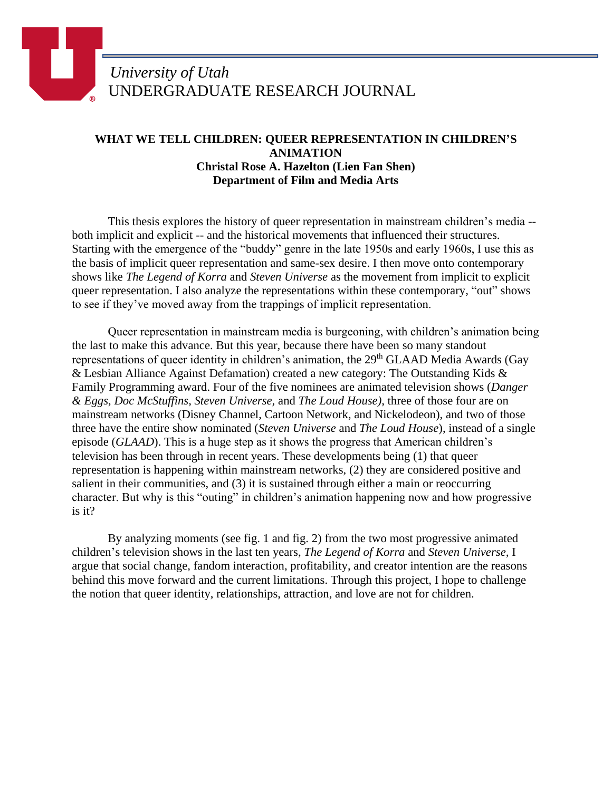## *University of Utah* UNDERGRADUATE RESEARCH JOURNAL

## **WHAT WE TELL CHILDREN: QUEER REPRESENTATION IN CHILDREN'S ANIMATION Christal Rose A. Hazelton (Lien Fan Shen) Department of Film and Media Arts**

This thesis explores the history of queer representation in mainstream children's media - both implicit and explicit -- and the historical movements that influenced their structures. Starting with the emergence of the "buddy" genre in the late 1950s and early 1960s, I use this as the basis of implicit queer representation and same-sex desire. I then move onto contemporary shows like *The Legend of Korra* and *Steven Universe* as the movement from implicit to explicit queer representation. I also analyze the representations within these contemporary, "out" shows to see if they've moved away from the trappings of implicit representation.

Queer representation in mainstream media is burgeoning, with children's animation being the last to make this advance. But this year, because there have been so many standout representations of queer identity in children's animation, the 29<sup>th</sup> GLAAD Media Awards (Gay & Lesbian Alliance Against Defamation) created a new category: The Outstanding Kids & Family Programming award. Four of the five nominees are animated television shows (*Danger & Eggs, Doc McStuffins, Steven Universe,* and *The Loud House)*, three of those four are on mainstream networks (Disney Channel, Cartoon Network, and Nickelodeon), and two of those three have the entire show nominated (*Steven Universe* and *The Loud House*), instead of a single episode (*GLAAD*). This is a huge step as it shows the progress that American children's television has been through in recent years. These developments being (1) that queer representation is happening within mainstream networks, (2) they are considered positive and salient in their communities, and (3) it is sustained through either a main or reoccurring character. But why is this "outing" in children's animation happening now and how progressive is it?

By analyzing moments (see fig. 1 and fig. 2) from the two most progressive animated children's television shows in the last ten years, *The Legend of Korra* and *Steven Universe,* I argue that social change, fandom interaction, profitability, and creator intention are the reasons behind this move forward and the current limitations. Through this project, I hope to challenge the notion that queer identity, relationships, attraction, and love are not for children.